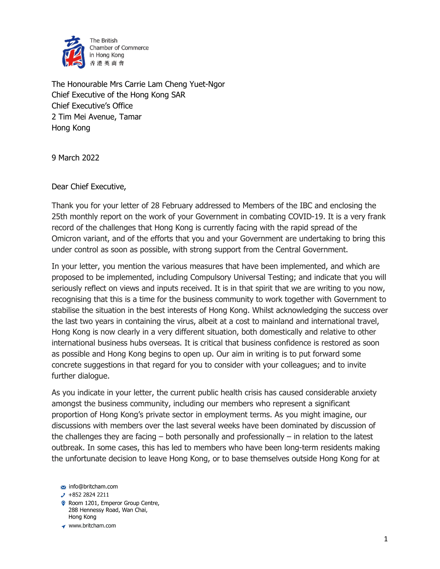

The Honourable Mrs Carrie Lam Cheng Yuet-Ngor Chief Executive of the Hong Kong SAR Chief Executive's Office 2 Tim Mei Avenue, Tamar Hong Kong

9 March 2022

Dear Chief Executive,

Thank you for your letter of 28 February addressed to Members of the IBC and enclosing the 25th monthly report on the work of your Government in combating COVID-19. It is a very frank record of the challenges that Hong Kong is currently facing with the rapid spread of the Omicron variant, and of the efforts that you and your Government are undertaking to bring this under control as soon as possible, with strong support from the Central Government.

In your letter, you mention the various measures that have been implemented, and which are proposed to be implemented, including Compulsory Universal Testing; and indicate that you will seriously reflect on views and inputs received. It is in that spirit that we are writing to you now, recognising that this is a time for the business community to work together with Government to stabilise the situation in the best interests of Hong Kong. Whilst acknowledging the success over the last two years in containing the virus, albeit at a cost to mainland and international travel, Hong Kong is now clearly in a very different situation, both domestically and relative to other international business hubs overseas. It is critical that business confidence is restored as soon as possible and Hong Kong begins to open up. Our aim in writing is to put forward some concrete suggestions in that regard for you to consider with your colleagues; and to invite further dialogue.

As you indicate in your letter, the current public health crisis has caused considerable anxiety amongst the business community, including our members who represent a significant proportion of Hong Kong's private sector in employment terms. As you might imagine, our discussions with members over the last several weeks have been dominated by discussion of the challenges they are facing – both personally and professionally – in relation to the latest outbreak. In some cases, this has led to members who have been long-term residents making the unfortunate decision to leave Hong Kong, or to base themselves outside Hong Kong for at

- Room 1201, Emperor Group Centre, 288 Hennessy Road, Wan Chai, Hong Kong
- ◆ www.britcham.com

 $\cdot$  +852 2824 2211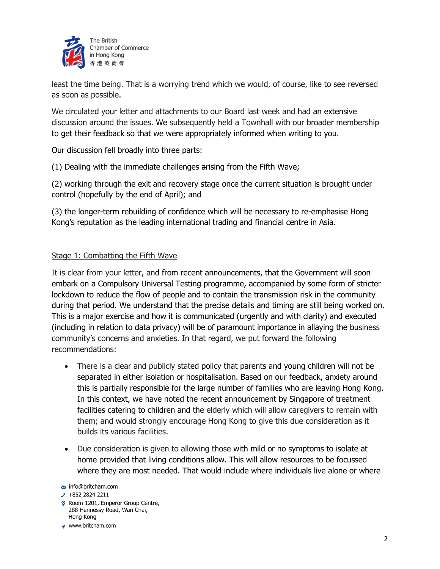

least the time being. That is a worrying trend which we would, of course, like to see reversed as soon as possible.

We circulated your letter and attachments to our Board last week and had an extensive discussion around the issues. We subsequently held a Townhall with our broader membership to get their feedback so that we were appropriately informed when writing to you.

Our discussion fell broadly into three parts:

(1) Dealing with the immediate challenges arising from the Fifth Wave;

(2) working through the exit and recovery stage once the current situation is brought under control (hopefully by the end of April); and

(3) the longer-term rebuilding of confidence which will be necessary to re-emphasise Hong Kong's reputation as the leading international trading and financial centre in Asia.

## Stage 1: Combatting the Fifth Wave

It is clear from your letter, and from recent announcements, that the Government will soon embark on a Compulsory Universal Testing programme, accompanied by some form of stricter lockdown to reduce the flow of people and to contain the transmission risk in the community during that period. We understand that the precise details and timing are still being worked on. This is a major exercise and how it is communicated (urgently and with clarity) and executed (including in relation to data privacy) will be of paramount importance in allaying the business community's concerns and anxieties. In that regard, we put forward the following recommendations:

- There is a clear and publicly stated policy that parents and young children will not be separated in either isolation or hospitalisation. Based on our feedback, anxiety around this is partially responsible for the large number of families who are leaving Hong Kong. In this context, we have noted the recent announcement by Singapore of treatment facilities catering to children and the elderly which will allow caregivers to remain with them; and would strongly encourage Hong Kong to give this due consideration as it builds its various facilities.
- Due consideration is given to allowing those with mild or no symptoms to isolate at home provided that living conditions allow. This will allow resources to be focussed where they are most needed. That would include where individuals live alone or where

- Room 1201, Emperor Group Centre, 288 Hennessy Road, Wan Chai, Hong Kong
- ◆ www.britcham.com

 $\cdot$  +852 2824 2211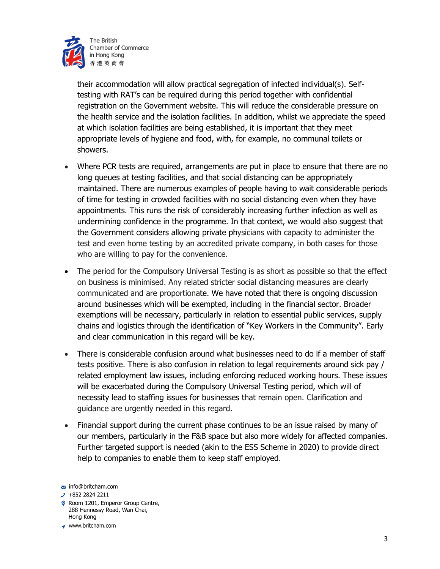

their accommodation will allow practical segregation of infected individual(s). Selftesting with RAT's can be required during this period together with confidential registration on the Government website. This will reduce the considerable pressure on the health service and the isolation facilities. In addition, whilst we appreciate the speed at which isolation facilities are being established, it is important that they meet appropriate levels of hygiene and food, with, for example, no communal toilets or showers.

- Where PCR tests are required, arrangements are put in place to ensure that there are no long queues at testing facilities, and that social distancing can be appropriately maintained. There are numerous examples of people having to wait considerable periods of time for testing in crowded facilities with no social distancing even when they have appointments. This runs the risk of considerably increasing further infection as well as undermining confidence in the programme. In that context, we would also suggest that the Government considers allowing private physicians with capacity to administer the test and even home testing by an accredited private company, in both cases for those who are willing to pay for the convenience.
- The period for the Compulsory Universal Testing is as short as possible so that the effect on business is minimised. Any related stricter social distancing measures are clearly communicated and are proportionate. We have noted that there is ongoing discussion around businesses which will be exempted, including in the financial sector. Broader exemptions will be necessary, particularly in relation to essential public services, supply chains and logistics through the identification of "Key Workers in the Community". Early and clear communication in this regard will be key.
- There is considerable confusion around what businesses need to do if a member of staff tests positive. There is also confusion in relation to legal requirements around sick pay / related employment law issues, including enforcing reduced working hours. These issues will be exacerbated during the Compulsory Universal Testing period, which will of necessity lead to staffing issues for businesses that remain open. Clarification and guidance are urgently needed in this regard.
- Financial support during the current phase continues to be an issue raised by many of our members, particularly in the F&B space but also more widely for affected companies. Further targeted support is needed (akin to the ESS Scheme in 2020) to provide direct help to companies to enable them to keep staff employed.

- Room 1201, Emperor Group Centre, 288 Hennessy Road, Wan Chai, Hong Kong
- ◆ www.britcham.com

info@britcham.com

 $\cdot$  +852 2824 2211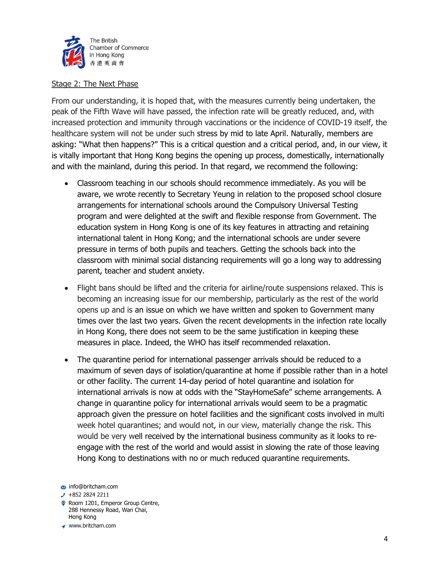

## Stage 2: The Next Phase

From our understanding, it is hoped that, with the measures currently being undertaken, the peak of the Fifth Wave will have passed, the infection rate will be greatly reduced, and, with increased protection and immunity through vaccinations or the incidence of COVID-19 itself, the healthcare system will not be under such stress by mid to late April. Naturally, members are asking: "What then happens?" This is a critical question and a critical period, and, in our view, it is vitally important that Hong Kong begins the opening up process, domestically, internationally and with the mainland, during this period. In that regard, we recommend the following:

- Classroom teaching in our schools should recommence immediately. As you will be aware, we wrote recently to Secretary Yeung in relation to the proposed school closure arrangements for international schools around the Compulsory Universal Testing program and were delighted at the swift and flexible response from Government. The education system in Hong Kong is one of its key features in attracting and retaining international talent in Hong Kong; and the international schools are under severe pressure in terms of both pupils and teachers. Getting the schools back into the classroom with minimal social distancing requirements will go a long way to addressing parent, teacher and student anxiety.
- Flight bans should be lifted and the criteria for airline/route suspensions relaxed. This is becoming an increasing issue for our membership, particularly as the rest of the world opens up and is an issue on which we have written and spoken to Government many times over the last two years. Given the recent developments in the infection rate locally in Hong Kong, there does not seem to be the same justification in keeping these measures in place. Indeed, the WHO has itself recommended relaxation.
- The quarantine period for international passenger arrivals should be reduced to a maximum of seven days of isolation/quarantine at home if possible rather than in a hotel or other facility. The current 14-day period of hotel quarantine and isolation for international arrivals is now at odds with the "StayHomeSafe" scheme arrangements. A change in quarantine policy for international arrivals would seem to be a pragmatic approach given the pressure on hotel facilities and the significant costs involved in multi week hotel quarantines; and would not, in our view, materially change the risk. This would be very well received by the international business community as it looks to reengage with the rest of the world and would assist in slowing the rate of those leaving Hong Kong to destinations with no or much reduced quarantine requirements.

- Room 1201, Emperor Group Centre, 288 Hennessy Road, Wan Chai, Hong Kong
- ◆ www.britcham.com

 $\cdot$  +852 2824 2211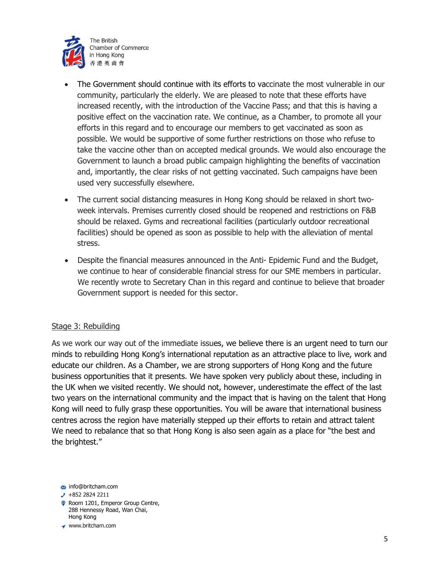

- The Government should continue with its efforts to vaccinate the most vulnerable in our community, particularly the elderly. We are pleased to note that these efforts have increased recently, with the introduction of the Vaccine Pass; and that this is having a positive effect on the vaccination rate. We continue, as a Chamber, to promote all your efforts in this regard and to encourage our members to get vaccinated as soon as possible. We would be supportive of some further restrictions on those who refuse to take the vaccine other than on accepted medical grounds. We would also encourage the Government to launch a broad public campaign highlighting the benefits of vaccination and, importantly, the clear risks of not getting vaccinated. Such campaigns have been used very successfully elsewhere.
- The current social distancing measures in Hong Kong should be relaxed in short twoweek intervals. Premises currently closed should be reopened and restrictions on F&B should be relaxed. Gyms and recreational facilities (particularly outdoor recreational facilities) should be opened as soon as possible to help with the alleviation of mental stress.
- Despite the financial measures announced in the Anti- Epidemic Fund and the Budget, we continue to hear of considerable financial stress for our SME members in particular. We recently wrote to Secretary Chan in this regard and continue to believe that broader Government support is needed for this sector.

## Stage 3: Rebuilding

As we work our way out of the immediate issues, we believe there is an urgent need to turn our minds to rebuilding Hong Kong's international reputation as an attractive place to live, work and educate our children. As a Chamber, we are strong supporters of Hong Kong and the future business opportunities that it presents. We have spoken very publicly about these, including in the UK when we visited recently. We should not, however, underestimate the effect of the last two years on the international community and the impact that is having on the talent that Hong Kong will need to fully grasp these opportunities. You will be aware that international business centres across the region have materially stepped up their efforts to retain and attract talent We need to rebalance that so that Hong Kong is also seen again as a place for "the best and the brightest."

- $\cdot$  +852 2824 2211
- Room 1201, Emperor Group Centre, 288 Hennessy Road, Wan Chai, Hong Kong
- ◆ www.britcham.com